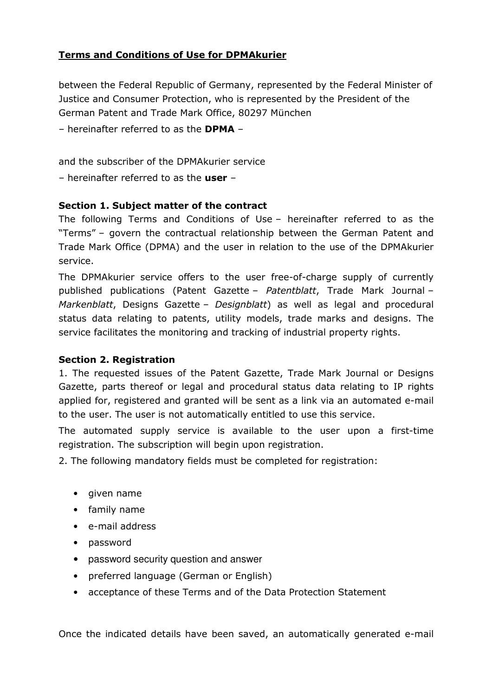# Terms and Conditions of Use for DPMAkurier

between the Federal Republic of Germany, represented by the Federal Minister of Justice and Consumer Protection, who is represented by the President of the German Patent and Trade Mark Office, 80297 München

– hereinafter referred to as the DPMA –

and the subscriber of the DPMAkurier service

– hereinafter referred to as the  $user -$ 

## Section 1. Subject matter of the contract

The following Terms and Conditions of Use – hereinafter referred to as the "Terms" – govern the contractual relationship between the German Patent and Trade Mark Office (DPMA) and the user in relation to the use of the DPMAkurier service.

The DPMAkurier service offers to the user free-of-charge supply of currently published publications (Patent Gazette – Patentblatt, Trade Mark Journal – Markenblatt, Designs Gazette – Designblatt) as well as legal and procedural status data relating to patents, utility models, trade marks and designs. The service facilitates the monitoring and tracking of industrial property rights.

#### Section 2. Registration

1. The requested issues of the Patent Gazette, Trade Mark Journal or Designs Gazette, parts thereof or legal and procedural status data relating to IP rights applied for, registered and granted will be sent as a link via an automated e-mail to the user. The user is not automatically entitled to use this service.

The automated supply service is available to the user upon a first-time registration. The subscription will begin upon registration.

2. The following mandatory fields must be completed for registration:

- given name
- family name
- e-mail address
- password
- password security question and answer
- preferred language (German or English)
- acceptance of these Terms and of the Data Protection Statement

Once the indicated details have been saved, an automatically generated e-mail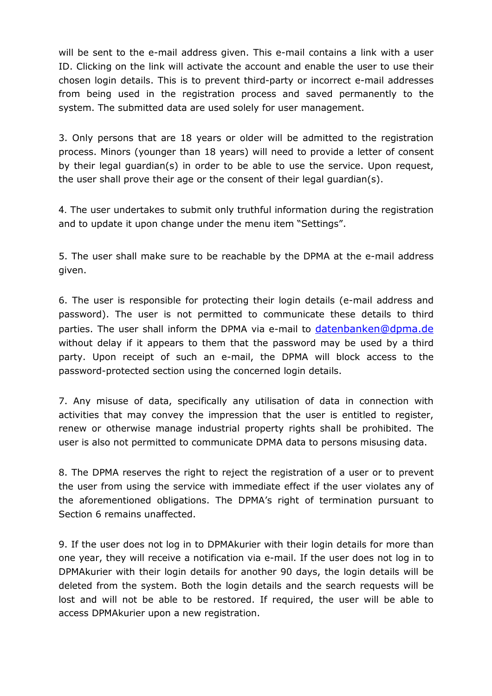will be sent to the e-mail address given. This e-mail contains a link with a user ID. Clicking on the link will activate the account and enable the user to use their chosen login details. This is to prevent third-party or incorrect e-mail addresses from being used in the registration process and saved permanently to the system. The submitted data are used solely for user management.

3. Only persons that are 18 years or older will be admitted to the registration process. Minors (younger than 18 years) will need to provide a letter of consent by their legal guardian(s) in order to be able to use the service. Upon request, the user shall prove their age or the consent of their legal guardian(s).

4. The user undertakes to submit only truthful information during the registration and to update it upon change under the menu item "Settings".

5. The user shall make sure to be reachable by the DPMA at the e-mail address given.

6. The user is responsible for protecting their login details (e-mail address and password). The user is not permitted to communicate these details to third parties. The user shall inform the DPMA via e-mail to datenbanken@dpma.de without delay if it appears to them that the password may be used by a third party. Upon receipt of such an e-mail, the DPMA will block access to the password-protected section using the concerned login details.

7. Any misuse of data, specifically any utilisation of data in connection with activities that may convey the impression that the user is entitled to register, renew or otherwise manage industrial property rights shall be prohibited. The user is also not permitted to communicate DPMA data to persons misusing data.

8. The DPMA reserves the right to reject the registration of a user or to prevent the user from using the service with immediate effect if the user violates any of the aforementioned obligations. The DPMA's right of termination pursuant to Section 6 remains unaffected.

9. If the user does not log in to DPMAkurier with their login details for more than one year, they will receive a notification via e-mail. If the user does not log in to DPMAkurier with their login details for another 90 days, the login details will be deleted from the system. Both the login details and the search requests will be lost and will not be able to be restored. If required, the user will be able to access DPMAkurier upon a new registration.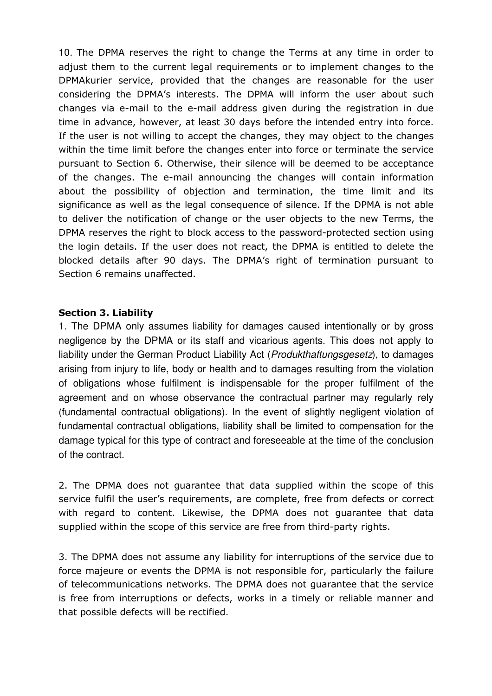10. The DPMA reserves the right to change the Terms at any time in order to adjust them to the current legal requirements or to implement changes to the DPMAkurier service, provided that the changes are reasonable for the user considering the DPMA's interests. The DPMA will inform the user about such changes via e-mail to the e-mail address given during the registration in due time in advance, however, at least 30 days before the intended entry into force. If the user is not willing to accept the changes, they may object to the changes within the time limit before the changes enter into force or terminate the service pursuant to Section 6. Otherwise, their silence will be deemed to be acceptance of the changes. The e-mail announcing the changes will contain information about the possibility of objection and termination, the time limit and its significance as well as the legal consequence of silence. If the DPMA is not able to deliver the notification of change or the user objects to the new Terms, the DPMA reserves the right to block access to the password-protected section using the login details. If the user does not react, the DPMA is entitled to delete the blocked details after 90 days. The DPMA's right of termination pursuant to Section 6 remains unaffected.

#### Section 3. Liability

1. The DPMA only assumes liability for damages caused intentionally or by gross negligence by the DPMA or its staff and vicarious agents. This does not apply to liability under the German Product Liability Act (Produkthaftungsgesetz), to damages arising from injury to life, body or health and to damages resulting from the violation of obligations whose fulfilment is indispensable for the proper fulfilment of the agreement and on whose observance the contractual partner may regularly rely (fundamental contractual obligations). In the event of slightly negligent violation of fundamental contractual obligations, liability shall be limited to compensation for the damage typical for this type of contract and foreseeable at the time of the conclusion of the contract.

2. The DPMA does not guarantee that data supplied within the scope of this service fulfil the user's requirements, are complete, free from defects or correct with regard to content. Likewise, the DPMA does not guarantee that data supplied within the scope of this service are free from third-party rights.

3. The DPMA does not assume any liability for interruptions of the service due to force majeure or events the DPMA is not responsible for, particularly the failure of telecommunications networks. The DPMA does not guarantee that the service is free from interruptions or defects, works in a timely or reliable manner and that possible defects will be rectified.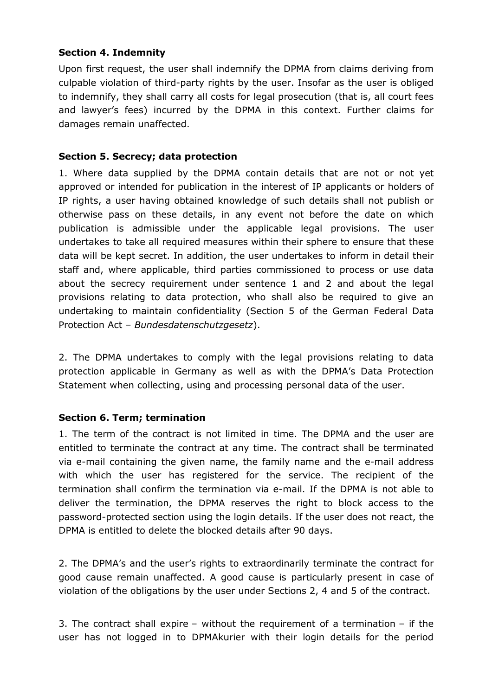## Section 4. Indemnity

Upon first request, the user shall indemnify the DPMA from claims deriving from culpable violation of third-party rights by the user. Insofar as the user is obliged to indemnify, they shall carry all costs for legal prosecution (that is, all court fees and lawyer's fees) incurred by the DPMA in this context. Further claims for damages remain unaffected.

## Section 5. Secrecy; data protection

1. Where data supplied by the DPMA contain details that are not or not yet approved or intended for publication in the interest of IP applicants or holders of IP rights, a user having obtained knowledge of such details shall not publish or otherwise pass on these details, in any event not before the date on which publication is admissible under the applicable legal provisions. The user undertakes to take all required measures within their sphere to ensure that these data will be kept secret. In addition, the user undertakes to inform in detail their staff and, where applicable, third parties commissioned to process or use data about the secrecy requirement under sentence 1 and 2 and about the legal provisions relating to data protection, who shall also be required to give an undertaking to maintain confidentiality (Section 5 of the German Federal Data Protection Act – Bundesdatenschutzgesetz).

2. The DPMA undertakes to comply with the legal provisions relating to data protection applicable in Germany as well as with the DPMA's Data Protection Statement when collecting, using and processing personal data of the user.

# Section 6. Term; termination

1. The term of the contract is not limited in time. The DPMA and the user are entitled to terminate the contract at any time. The contract shall be terminated via e-mail containing the given name, the family name and the e-mail address with which the user has registered for the service. The recipient of the termination shall confirm the termination via e-mail. If the DPMA is not able to deliver the termination, the DPMA reserves the right to block access to the password-protected section using the login details. If the user does not react, the DPMA is entitled to delete the blocked details after 90 days.

2. The DPMA's and the user's rights to extraordinarily terminate the contract for good cause remain unaffected. A good cause is particularly present in case of violation of the obligations by the user under Sections 2, 4 and 5 of the contract.

3. The contract shall expire – without the requirement of a termination – if the user has not logged in to DPMAkurier with their login details for the period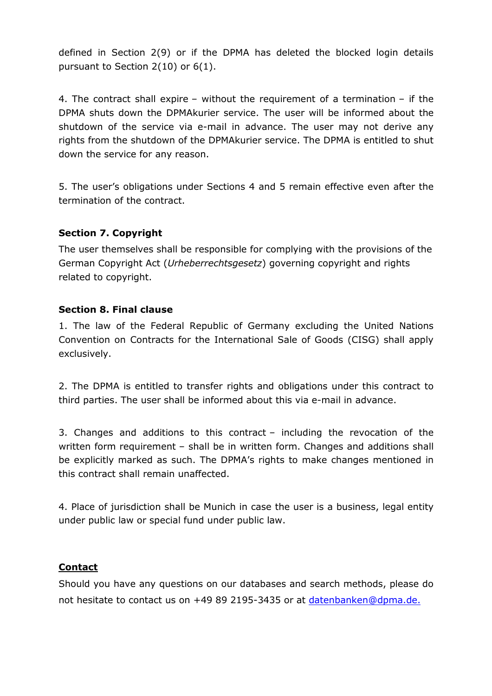defined in Section 2(9) or if the DPMA has deleted the blocked login details pursuant to Section 2(10) or 6(1).

4. The contract shall expire – without the requirement of a termination – if the DPMA shuts down the DPMAkurier service. The user will be informed about the shutdown of the service via e-mail in advance. The user may not derive any rights from the shutdown of the DPMAkurier service. The DPMA is entitled to shut down the service for any reason.

5. The user's obligations under Sections 4 and 5 remain effective even after the termination of the contract.

# Section 7. Copyright

The user themselves shall be responsible for complying with the provisions of the German Copyright Act (Urheberrechtsgesetz) governing copyright and rights related to copyright.

## Section 8. Final clause

1. The law of the Federal Republic of Germany excluding the United Nations Convention on Contracts for the International Sale of Goods (CISG) shall apply exclusively.

2. The DPMA is entitled to transfer rights and obligations under this contract to third parties. The user shall be informed about this via e-mail in advance.

3. Changes and additions to this contract – including the revocation of the written form requirement – shall be in written form. Changes and additions shall be explicitly marked as such. The DPMA's rights to make changes mentioned in this contract shall remain unaffected.

4. Place of jurisdiction shall be Munich in case the user is a business, legal entity under public law or special fund under public law.

# **Contact**

Should you have any questions on our databases and search methods, please do not hesitate to contact us on +49 89 2195-3435 or at datenbanken@dpma.de.